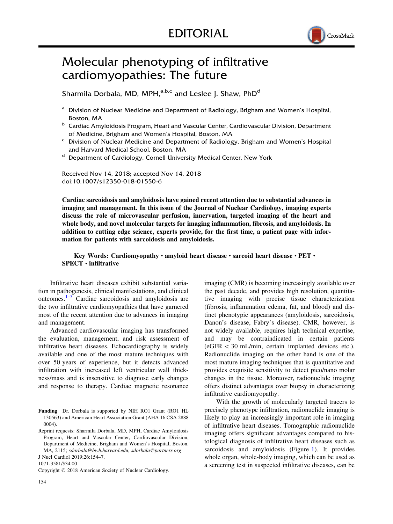

## Molecular phenotyping of infiltrative cardiomyopathies: The future

Sharmila Dorbala, MD, MPH,<sup>a,b,c</sup> and Leslee J. Shaw, PhD<sup>d</sup>

- <sup>a</sup> Division of Nuclear Medicine and Department of Radiology, Brigham and Women's Hospital, Boston, MA
- **b** Cardiac Amyloidosis Program, Heart and Vascular Center, Cardiovascular Division, Department of Medicine, Brigham and Women's Hospital, Boston, MA
- <sup>c</sup> Division of Nuclear Medicine and Department of Radiology, Brigham and Women's Hospital and Harvard Medical School, Boston, MA
- <sup>d</sup> Department of Cardiology, Cornell University Medical Center, New York

Received Nov 14, 2018; accepted Nov 14, 2018 doi:10.1007/s12350-018-01550-6

Cardiac sarcoidosis and amyloidosis have gained recent attention due to substantial advances in imaging and management. In this issue of the Journal of Nuclear Cardiology, imaging experts discuss the role of microvascular perfusion, innervation, targeted imaging of the heart and whole body, and novel molecular targets for imaging inflammation, fibrosis, and amyloidosis. In addition to cutting edge science, experts provide, for the first time, a patient page with information for patients with sarcoidosis and amyloidosis.

## Key Words: Cardiomyopathy · amyloid heart disease · sarcoid heart disease · PET ·  $SPECT \cdot$  infiltrative

Infiltrative heart diseases exhibit substantial variation in pathogenesis, clinical manifestations, and clinical outcomes.[1–3](#page-2-0) Cardiac sarcoidosis and amyloidosis are the two infiltrative cardiomyopathies that have garnered most of the recent attention due to advances in imaging and management.

Advanced cardiovascular imaging has transformed the evaluation, management, and risk assessment of infiltrative heart diseases. Echocardiography is widely available and one of the most mature techniques with over 50 years of experience, but it detects advanced infiltration with increased left ventricular wall thickness/mass and is insensitive to diagnose early changes and response to therapy. Cardiac magnetic resonance

1071-3581/\$34.00

Copyright © 2018 American Society of Nuclear Cardiology.

imaging (CMR) is becoming increasingly available over the past decade, and provides high resolution, quantitative imaging with precise tissue characterization (fibrosis, inflammation edema, fat, and blood) and distinct phenotypic appearances (amyloidosis, sarcoidosis, Danon's disease, Fabry's disease). CMR, however, is not widely available, requires high technical expertise, and may be contraindicated in certain patients  $(eGFR < 30 \text{ mL/min},$  certain implanted devices etc.). Radionuclide imaging on the other hand is one of the most mature imaging techniques that is quantitative and provides exquisite sensitivity to detect pico/nano molar changes in the tissue. Moreover, radionuclide imaging offers distinct advantages over biopsy in characterizing infiltrative cardiomyopathy.

With the growth of molecularly targeted tracers to precisely phenotype infiltration, radionuclide imaging is likely to play an increasingly important role in imaging of infiltrative heart diseases. Tomographic radionuclide imaging offers significant advantages compared to histological diagnosis of infiltrative heart diseases such as sarcoidosis and amyloidosis (Figure [1](#page-1-0)). It provides whole organ, whole-body imaging, which can be used as a screening test in suspected infiltrative diseases, can be

Funding Dr. Dorbala is supported by NIH RO1 Grant (RO1 HL 130563) and American Heart Association Grant (AHA 16 CSA 2888 0004).

Reprint requests: Sharmila Dorbala, MD, MPH, Cardiac Amyloidosis Program, Heart and Vascular Center, Cardiovascular Division, Department of Medicine, Brigham and Women's Hospital, Boston, MA, 2115; sdorbala@bwh.harvard.edu, sdorbala@partners.org J Nucl Cardiol 2019;26:154–7.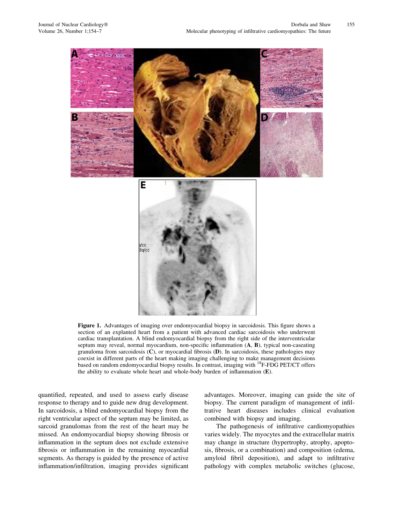<span id="page-1-0"></span>

Figure 1. Advantages of imaging over endomyocardial biopsy in sarcoidosis. This figure shows a section of an explanted heart from a patient with advanced cardiac sarcoidosis who underwent cardiac transplantation. A blind endomyocardial biopsy from the right side of the interventricular septum may reveal, normal myocardium, non-specific inflammation (A, B), typical non-caseating granuloma from sarcoidosis  $(C)$ , or myocardial fibrosis  $(D)$ . In sarcoidosis, these pathologies may coexist in different parts of the heart making imaging challenging to make management decisions based on random endomyocardial biopsy results. In contrast, imaging with 18F-FDG PET/CT offers the ability to evaluate whole heart and whole-body burden of inflammation (E).

quantified, repeated, and used to assess early disease response to therapy and to guide new drug development. In sarcoidosis, a blind endomyocardial biopsy from the right ventricular aspect of the septum may be limited, as sarcoid granulomas from the rest of the heart may be missed. An endomyocardial biopsy showing fibrosis or inflammation in the septum does not exclude extensive fibrosis or inflammation in the remaining myocardial segments. As therapy is guided by the presence of active inflammation/infiltration, imaging provides significant advantages. Moreover, imaging can guide the site of biopsy. The current paradigm of management of infiltrative heart diseases includes clinical evaluation combined with biopsy and imaging.

The pathogenesis of infiltrative cardiomyopathies varies widely. The myocytes and the extracellular matrix may change in structure (hypertrophy, atrophy, apoptosis, fibrosis, or a combination) and composition (edema, amyloid fibril deposition), and adapt to infiltrative pathology with complex metabolic switches (glucose,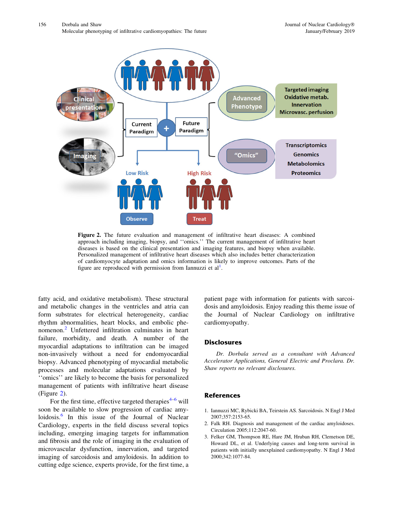<span id="page-2-0"></span>

Figure 2. The future evaluation and management of infiltrative heart diseases: A combined approach including imaging, biopsy, and ''omics.'' The current management of infiltrative heart diseases is based on the clinical presentation and imaging features, and biopsy when available. Personalized management of infiltrative heart diseases which also includes better characterization of cardiomyocyte adaptation and omics information is likely to improve outcomes. Parts of the figure are reproduced with permission from Iannuzzi et  $al<sup>1</sup>$ .

fatty acid, and oxidative metabolism). These structural and metabolic changes in the ventricles and atria can form substrates for electrical heterogeneity, cardiac rhythm abnormalities, heart blocks, and embolic phenomenon.<sup>2</sup> Unfettered infiltration culminates in heart failure, morbidity, and death. A number of the myocardial adaptations to infiltration can be imaged non-invasively without a need for endomyocardial biopsy. Advanced phenotyping of myocardial metabolic processes and molecular adaptations evaluated by ''omics'' are likely to become the basis for personalized management of patients with infiltrative heart disease (Figure 2).

For the first time, effective targeted therapies<sup> $4-6$ </sup> will soon be available to slow progression of cardiac amy-loidosis.<sup>[6](#page-3-0)</sup> In this issue of the Journal of Nuclear Cardiology, experts in the field discuss several topics including, emerging imaging targets for inflammation and fibrosis and the role of imaging in the evaluation of microvascular dysfunction, innervation, and targeted imaging of sarcoidosis and amyloidosis. In addition to cutting edge science, experts provide, for the first time, a patient page with information for patients with sarcoidosis and amyloidosis. Enjoy reading this theme issue of the Journal of Nuclear Cardiology on infiltrative cardiomyopathy.

## **Disclosures**

Dr. Dorbala served as a consultant with Advanced Accelerator Applications, General Electric and Proclara. Dr. Shaw reports no relevant disclosures.

## References

- 1. Iannuzzi MC, Rybicki BA, Teirstein AS. Sarcoidosis. N Engl J Med 2007;357:2153-65.
- 2. Falk RH. Diagnosis and management of the cardiac amyloidoses. Circulation 2005;112:2047-60.
- 3. Felker GM, Thompson RE, Hare JM, Hruban RH, Clemetson DE, Howard DL, et al. Underlying causes and long-term survival in patients with initially unexplained cardiomyopathy. N Engl J Med 2000;342:1077-84.